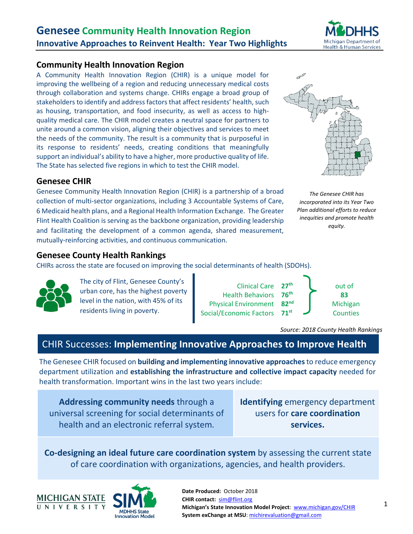

# **Community Health Innovation Region**

A Community Health Innovation Region (CHIR) is a unique model for improving the wellbeing of a region and reducing unnecessary medical costs through collaboration and systems change. CHIRs engage a broad group of stakeholders to identify and address factors that affect residents' health, such as housing, transportation, and food insecurity, as well as access to highquality medical care. The CHIR model creates a neutral space for partners to unite around a common vision, aligning their objectives and services to meet the needs of the community. The result is a community that is purposeful in its response to residents' needs, creating conditions that meaningfully support an individual's ability to have a higher, more productive quality of life. The State has selected five regions in which to test the CHIR model.



# **Genesee CHIR**

Genesee Community Health Innovation Region (CHIR) is a partnership of a broad collection of multi-sector organizations, including 3 Accountable Systems of Care, 6 Medicaid health plans, and a Regional Health Information Exchange. The Greater Flint Health Coalition is serving as the backbone organization, providing leadership and facilitating the development of a common agenda, shared measurement, mutually-reinforcing activities, and continuous communication.



# **Genesee County Health Rankings**

CHIRs across the state are focused on improving the social determinants of health (SDOHs).



The city of Flint, Genesee County's urban core, has the highest poverty level in the nation, with 45% of its residents living in poverty.



*Source: 2018 County Health Rankings*

# CHIR Successes: **Implementing Innovative Approaches to Improve Health**

The Genesee CHIR focused on **building and implementing innovative approaches** to reduce emergency department utilization and **establishing the infrastructure and collective impact capacity** needed for health transformation. Important wins in the last two years include:

**Addressing community needs** through a universal screening for social determinants of health and an electronic referral system.

**Identifying** emergency department users for **care coordination services.**

**Co-designing an ideal future care coordination system** by assessing the current state of care coordination with organizations, agencies, and health providers.



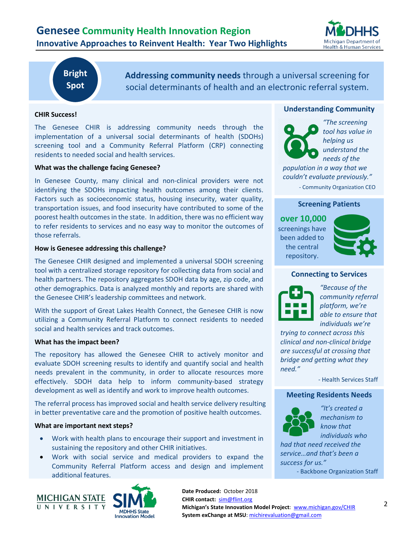

# **Bright Spot**

**Addressing community needs** through a universal screening for social determinants of health and an electronic referral system.

# **CHIR Success!**

The Genesee CHIR is addressing community needs through the implementation of a universal social determinants of health (SDOHs) screening tool and a Community Referral Platform (CRP) connecting residents to needed social and health services.

#### **What was the challenge facing Genesee?**

In Genesee County, many clinical and non-clinical providers were not identifying the SDOHs impacting health outcomes among their clients. Factors such as socioeconomic status, housing insecurity, water quality, transportation issues, and food insecurity have contributed to some of the poorest health outcomes in the state. In addition, there was no efficient way to refer residents to services and no easy way to monitor the outcomes of those referrals.

#### **How is Genesee addressing this challenge?**

The Genesee CHIR designed and implemented a universal SDOH screening tool with a centralized storage repository for collecting data from social and health partners. The repository aggregates SDOH data by age, zip code, and other demographics. Data is analyzed monthly and reports are shared with the Genesee CHIR's leadership committees and network.

With the support of Great Lakes Health Connect, the Genesee CHIR is now utilizing a Community Referral Platform to connect residents to needed social and health services and track outcomes.

#### **What has the impact been?**

The repository has allowed the Genesee CHIR to actively monitor and evaluate SDOH screening results to identify and quantify social and health needs prevalent in the community, in order to allocate resources more effectively. SDOH data help to inform community-based strategy development as well as identify and work to improve health outcomes.

The referral process has improved social and health service delivery resulting in better preventative care and the promotion of positive health outcomes.

#### **What are important next steps?**

- Work with health plans to encourage their support and investment in sustaining the repository and other CHIR initiatives.
- Work with social service and medical providers to expand the Community Referral Platform access and design and implement additional features.





# **Understanding Community**



*"The screening tool has value in helping us understand the needs of the* 

*population in a way that we couldn't evaluate previously."* - Community Organization CEO

# **Screening Patients**

**over 10,000** screenings have been added to the central repository.



# **Connecting to Services**



*"Because of the community referral platform, we're able to ensure that individuals we're* 

*trying to connect across this clinical and non-clinical bridge are successful at crossing that bridge and getting what they need."*

- Health Services Staff

#### **Meeting Residents Needs**



*"It's created a mechanism to know that individuals who* 

*had that need received the service…and that's been a success for us."*

- Backbone Organization Staff

**Date Produced:** October 2018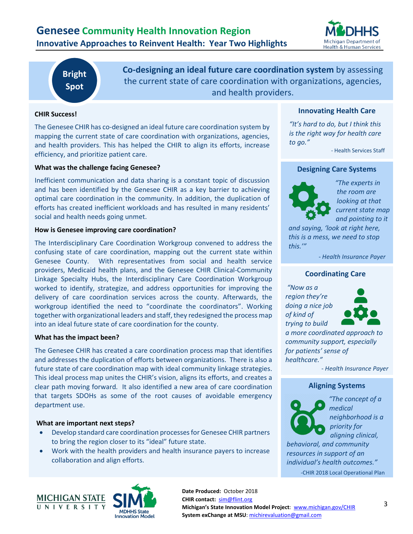

# **Bright Spot**

**Co-designing an ideal future care coordination system** by assessing the current state of care coordination with organizations, agencies, and health providers.

# **CHIR Success!**

The Genesee CHIR has co-designed an ideal future care coordination system by mapping the current state of care coordination with organizations, agencies, and health providers. This has helped the CHIR to align its efforts, increase efficiency, and prioritize patient care.

# **What was the challenge facing Genesee?**

Inefficient communication and data sharing is a constant topic of discussion and has been identified by the Genesee CHIR as a key barrier to achieving optimal care coordination in the community. In addition, the duplication of efforts has created inefficient workloads and has resulted in many residents' social and health needs going unmet.

#### **How is Genesee improving care coordination?**

The Interdisciplinary Care Coordination Workgroup convened to address the confusing state of care coordination, mapping out the current state within Genesee County. With representatives from social and health service providers, Medicaid health plans, and the Genesee CHIR Clinical-Community Linkage Specialty Hubs, the Interdisciplinary Care Coordination Workgroup worked to identify, strategize, and address opportunities for improving the delivery of care coordination services across the county. Afterwards, the workgroup identified the need to "coordinate the coordinators". Working together with organizational leaders and staff, they redesigned the process map into an ideal future state of care coordination for the county.

# **What has the impact been?**

The Genesee CHIR has created a care coordination process map that identifies and addresses the duplication of efforts between organizations. There is also a future state of care coordination map with ideal community linkage strategies. This ideal process map unites the CHIR's vision, aligns its efforts, and creates a clear path moving forward. It also identified a new area of care coordination that targets SDOHs as some of the root causes of avoidable emergency department use.

# **What are important next steps?**

- Develop standard care coordination processes for Genesee CHIR partners to bring the region closer to its "ideal" future state.
- Work with the health providers and health insurance payers to increase collaboration and align efforts.



*"It's hard to do, but I think this is the right way for health care to go."*

- Health Services Staff

# **Designing Care Systems**



*"The experts in the room are looking at that current state map and pointing to it* 

*and saying, 'look at right here, this is a mess, we need to stop this.'"*

*- Health Insurance Payer*

# **Coordinating Care**

*"Now as a region they're doing a nice job of kind of trying to build* 



*a more coordinated approach to community support, especially for patients' sense of healthcare."*

*- Health Insurance Payer*

# **Aligning Systems**



*"The concept of a medical neighborhood is a priority for aligning clinical,* 

*behavioral, and community resources in support of an individual's health outcomes."* -CHIR 2018 Local Operational Plan